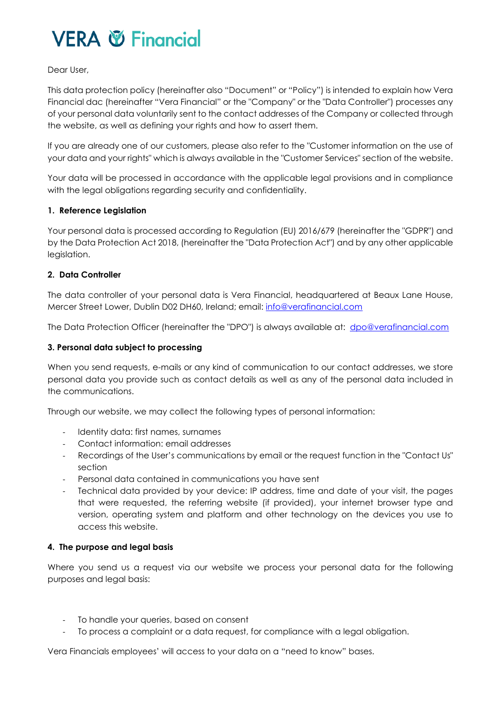# Dear User,

This data protection policy (hereinafter also "Document" or "Policy") is intended to explain how Vera Financial dac (hereinafter "Vera Financial" or the "Company" or the "Data Controller") processes any of your personal data voluntarily sent to the contact addresses of the Company or collected through the website, as well as defining your rights and how to assert them.

If you are already one of our customers, please also refer to the "Customer information on the use of your data and your rights" which is always available in the "Customer Services" section of the website.

Your data will be processed in accordance with the applicable legal provisions and in compliance with the legal obligations regarding security and confidentiality.

# **1. Reference Legislation**

Your personal data is processed according to Regulation (EU) 2016/679 (hereinafter the "GDPR") and by the Data Protection Act 2018, (hereinafter the "Data Protection Act") and by any other applicable leaislation.

# **2. Data Controller**

The data controller of your personal data is Vera Financial, headquartered at Beaux Lane House, Mercer Street Lower, Dublin D02 DH60, Ireland; email: info@verafinancial.com

The Data Protection Officer (hereinafter the "DPO") is always available at: dpo@verafinancial.com

# **3. Personal data subject to processing**

When you send requests, e-mails or any kind of communication to our contact addresses, we store personal data you provide such as contact details as well as any of the personal data included in the communications.

Through our website, we may collect the following types of personal information:

- Identity data: first names, surnames
- Contact information: email addresses
- Recordings of the User's communications by email or the request function in the "Contact Us" section
- Personal data contained in communications you have sent
- Technical data provided by your device: IP address, time and date of your visit, the pages that were requested, the referring website (if provided), your internet browser type and version, operating system and platform and other technology on the devices you use to access this website.

#### **4. The purpose and legal basis**

Where you send us a request via our website we process your personal data for the following purposes and legal basis:

- To handle your queries, based on consent
- To process a complaint or a data request, for compliance with a legal obligation.

Vera Financials employees' will access to your data on a "need to know" bases.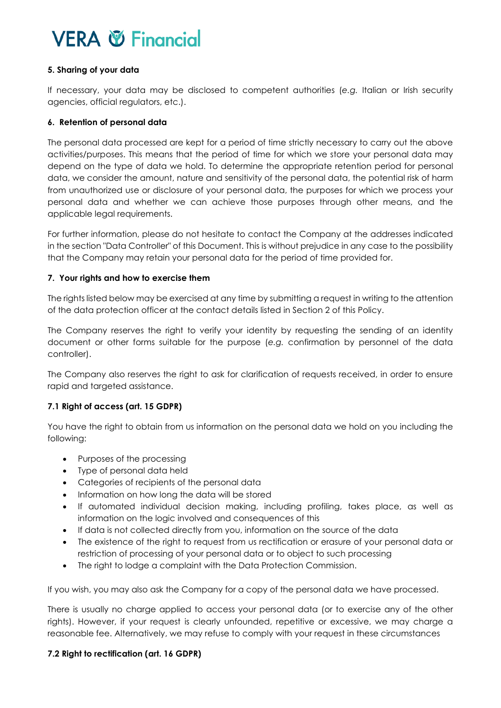# **5. Sharing of your data**

If necessary, your data may be disclosed to competent authorities (*e.g.* Italian or Irish security agencies, official regulators, etc.).

# **6. Retention of personal data**

The personal data processed are kept for a period of time strictly necessary to carry out the above activities/purposes. This means that the period of time for which we store your personal data may depend on the type of data we hold. To determine the appropriate retention period for personal data, we consider the amount, nature and sensitivity of the personal data, the potential risk of harm from unauthorized use or disclosure of your personal data, the purposes for which we process your personal data and whether we can achieve those purposes through other means, and the applicable legal requirements.

For further information, please do not hesitate to contact the Company at the addresses indicated in the section "Data Controller" of this Document. This is without prejudice in any case to the possibility that the Company may retain your personal data for the period of time provided for.

# **7. Your rights and how to exercise them**

The rights listed below may be exercised at any time by submitting a request in writing to the attention of the data protection officer at the contact details listed in Section 2 of this Policy.

The Company reserves the right to verify your identity by requesting the sending of an identity document or other forms suitable for the purpose (*e.g.* confirmation by personnel of the data controller).

The Company also reserves the right to ask for clarification of requests received, in order to ensure rapid and targeted assistance.

# **7.1 Right of access (art. 15 GDPR)**

You have the right to obtain from us information on the personal data we hold on you including the following:

- Purposes of the processing
- Type of personal data held
- Categories of recipients of the personal data
- Information on how long the data will be stored
- If automated individual decision making, including profiling, takes place, as well as information on the logic involved and consequences of this
- If data is not collected directly from you, information on the source of the data
- The existence of the right to request from us rectification or erasure of your personal data or restriction of processing of your personal data or to object to such processing
- The right to lodge a complaint with the Data Protection Commission.

If you wish, you may also ask the Company for a copy of the personal data we have processed.

There is usually no charge applied to access your personal data (or to exercise any of the other rights). However, if your request is clearly unfounded, repetitive or excessive, we may charge a reasonable fee. Alternatively, we may refuse to comply with your request in these circumstances

#### **7.2 Right to rectification (art. 16 GDPR)**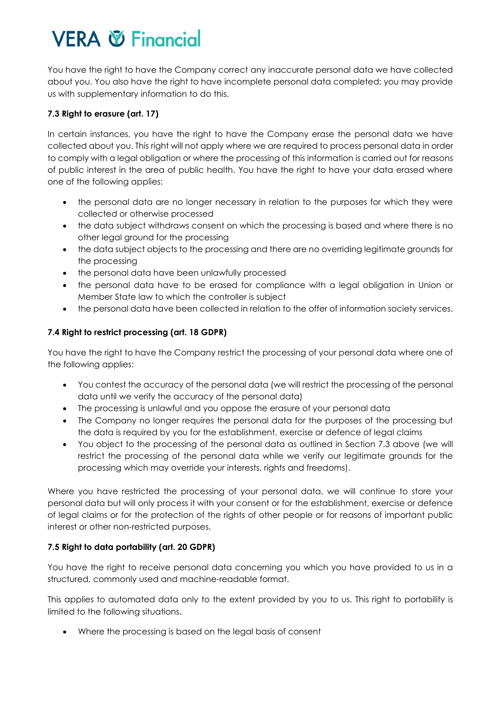You have the right to have the Company correct any inaccurate personal data we have collected about you. You also have the right to have incomplete personal data completed; you may provide us with supplementary information to do this.

# **7.3 Right to erasure (art. 17)**

In certain instances, you have the right to have the Company erase the personal data we have collected about you. This right will not apply where we are required to process personal data in order to comply with a legal obligation or where the processing of this information is carried out for reasons of public interest in the area of public health. You have the right to have your data erased where one of the following applies:

- the personal data are no longer necessary in relation to the purposes for which they were collected or otherwise processed
- the data subject withdraws consent on which the processing is based and where there is no other legal ground for the processing
- the data subject objects to the processing and there are no overriding legitimate grounds for the processing
- the personal data have been unlawfully processed
- the personal data have to be erased for compliance with a legal obligation in Union or Member State law to which the controller is subject
- the personal data have been collected in relation to the offer of information society services.

# **7.4 Right to restrict processing (art. 18 GDPR)**

You have the right to have the Company restrict the processing of your personal data where one of the following applies:

- You contest the accuracy of the personal data (we will restrict the processing of the personal data until we verify the accuracy of the personal data)
- The processing is unlawful and you oppose the erasure of your personal data
- The Company no longer requires the personal data for the purposes of the processing but the data is required by you for the establishment, exercise or defence of legal claims
- You object to the processing of the personal data as outlined in Section 7.3 above (we will restrict the processing of the personal data while we verify our legitimate grounds for the processing which may override your interests, rights and freedoms).

Where you have restricted the processing of your personal data, we will continue to store your personal data but will only process it with your consent or for the establishment, exercise or defence of legal claims or for the protection of the rights of other people or for reasons of important public interest or other non-restricted purposes.

# **7.5 Right to data portability (art. 20 GDPR)**

You have the right to receive personal data concerning you which you have provided to us in a structured, commonly used and machine-readable format.

This applies to automated data only to the extent provided by you to us. This right to portability is limited to the following situations.

Where the processing is based on the legal basis of consent